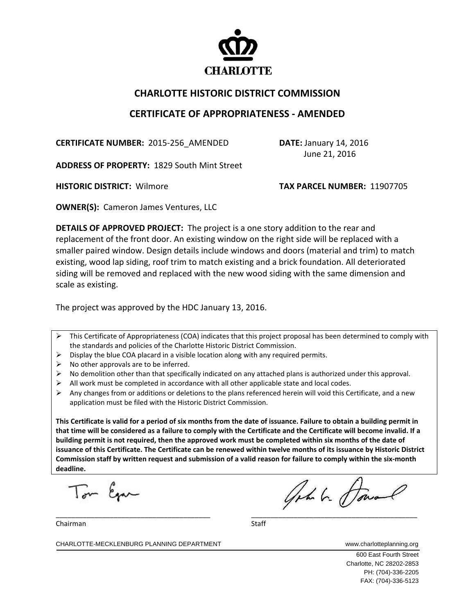

## **CHARLOTTE HISTORIC DISTRICT COMMISSION**

## **CERTIFICATE OF APPROPRIATENESS ‐ AMENDED**

**CERTIFICATE NUMBER:** 2015-256 AMENDED **DATE:** January 14, 2016

June 21, 2016

**ADDRESS OF PROPERTY:** 1829 South Mint Street

**HISTORIC DISTRICT:** Wilmore **TAX PARCEL NUMBER:** 11907705

**OWNER(S):** Cameron James Ventures, LLC

**DETAILS OF APPROVED PROJECT:** The project is a one story addition to the rear and replacement of the front door. An existing window on the right side will be replaced with a smaller paired window. Design details include windows and doors (material and trim) to match existing, wood lap siding, roof trim to match existing and a brick foundation. All deteriorated siding will be removed and replaced with the new wood siding with the same dimension and scale as existing.

The project was approved by the HDC January 13, 2016.

- $\triangleright$  This Certificate of Appropriateness (COA) indicates that this project proposal has been determined to comply with the standards and policies of the Charlotte Historic District Commission.
- $\triangleright$  Display the blue COA placard in a visible location along with any required permits.
- $\triangleright$  No other approvals are to be inferred.
- No demolition other than that specifically indicated on any attached plans is authorized under this approval.
- $\triangleright$  All work must be completed in accordance with all other applicable state and local codes.
- $\triangleright$  Any changes from or additions or deletions to the plans referenced herein will void this Certificate, and a new application must be filed with the Historic District Commission.

This Certificate is valid for a period of six months from the date of issuance. Failure to obtain a building permit in that time will be considered as a failure to comply with the Certificate and the Certificate will become invalid. If a building permit is not required, then the approved work must be completed within six months of the date of issuance of this Certificate. The Certificate can be renewed within twelve months of its issuance by Historic District Commission staff by written request and submission of a valid reason for failure to comply within the six-month **deadline.**

Tom Egan

 $\frac{1}{2}$  ,  $\frac{1}{2}$  ,  $\frac{1}{2}$  ,  $\frac{1}{2}$  ,  $\frac{1}{2}$  ,  $\frac{1}{2}$  ,  $\frac{1}{2}$  ,  $\frac{1}{2}$  ,  $\frac{1}{2}$  ,  $\frac{1}{2}$  ,  $\frac{1}{2}$  ,  $\frac{1}{2}$  ,  $\frac{1}{2}$  ,  $\frac{1}{2}$  ,  $\frac{1}{2}$  ,  $\frac{1}{2}$  ,  $\frac{1}{2}$  ,  $\frac{1}{2}$  ,  $\frac{1$ 

Chairman Staff

600 East Fourth Street Charlotte, NC 28202-2853 PH: (704)-336-2205 FAX: (704)-336-5123

CHARLOTTE-MECKLENBURG PLANNING DEPARTMENT WWW.charlotteplanning.org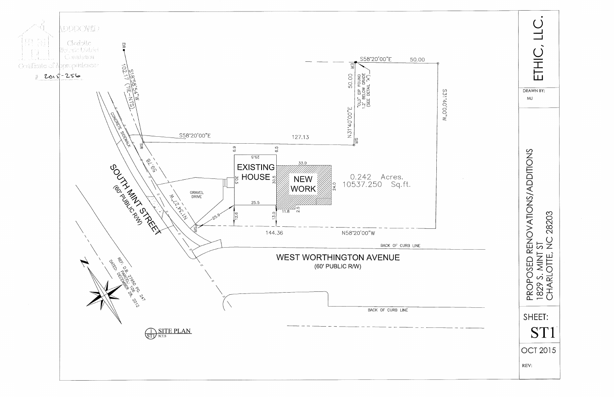

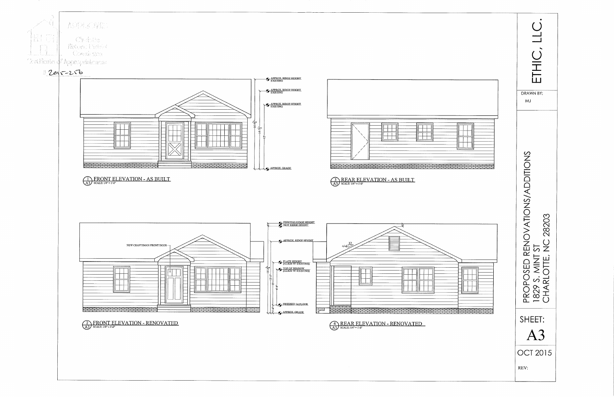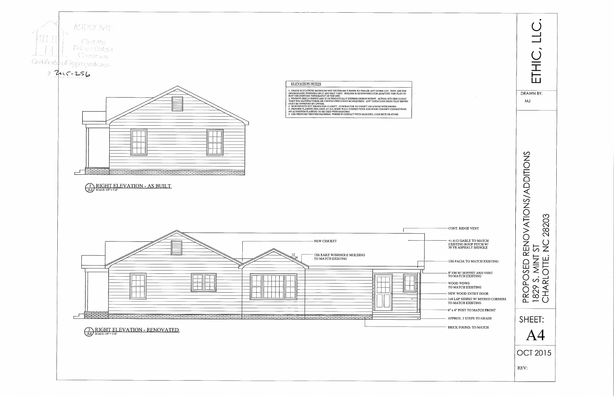

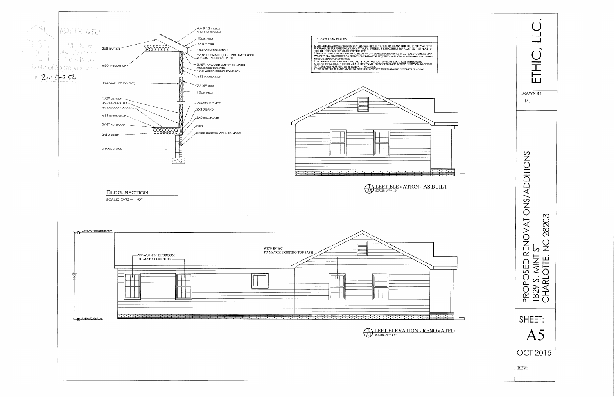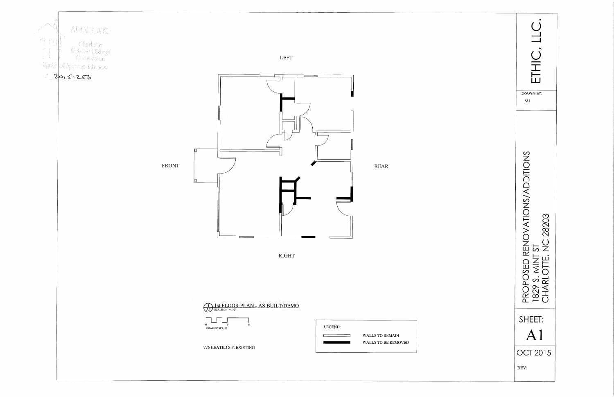